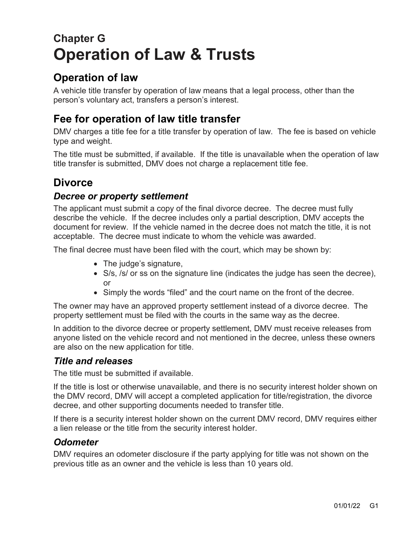# **Chapter G Operation of Law & Trusts**

### **Operation of law**

A vehicle title transfer by operation of law means that a legal process, other than the person's voluntary act, transfers a person's interest.

## **Fee for operation of law title transfer**

DMV charges a title fee for a title transfer by operation of law. The fee is based on vehicle type and weight.

The title must be submitted, if available. If the title is unavailable when the operation of law title transfer is submitted, DMV does not charge a replacement title fee.

### **Divorce**

#### *Decree or property settlement*

The applicant must submit a copy of the final divorce decree. The decree must fully describe the vehicle. If the decree includes only a partial description, DMV accepts the document for review. If the vehicle named in the decree does not match the title, it is not acceptable. The decree must indicate to whom the vehicle was awarded.

The final decree must have been filed with the court, which may be shown by:

- The judge's signature,
- S/s, /s/ or ss on the signature line (indicates the judge has seen the decree), or
- Simply the words "filed" and the court name on the front of the decree.

The owner may have an approved property settlement instead of a divorce decree. The property settlement must be filed with the courts in the same way as the decree.

In addition to the divorce decree or property settlement, DMV must receive releases from anyone listed on the vehicle record and not mentioned in the decree, unless these owners are also on the new application for title.

#### *Title and releases*

The title must be submitted if available.

If the title is lost or otherwise unavailable, and there is no security interest holder shown on the DMV record, DMV will accept a completed application for title/registration, the divorce decree, and other supporting documents needed to transfer title.

If there is a security interest holder shown on the current DMV record, DMV requires either a lien release or the title from the security interest holder.

#### *Odometer*

DMV requires an odometer disclosure if the party applying for title was not shown on the previous title as an owner and the vehicle is less than 10 years old.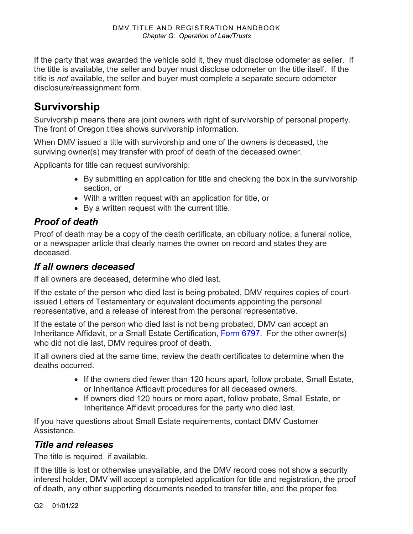If the party that was awarded the vehicle sold it, they must disclose odometer as seller. If the title is available, the seller and buyer must disclose odometer on the title itself. If the title is *not* available, the seller and buyer must complete a separate secure odometer disclosure/reassignment form.

### **Survivorship**

Survivorship means there are joint owners with right of survivorship of personal property. The front of Oregon titles shows survivorship information.

When DMV issued a title with survivorship and one of the owners is deceased, the surviving owner(s) may transfer with proof of death of the deceased owner.

Applicants for title can request survivorship:

- By submitting an application for title and checking the box in the survivorship section, or
- With a written request with an application for title, or
- By a written request with the current title.

#### *Proof of death*

Proof of death may be a copy of the death certificate, an obituary notice, a funeral notice, or a newspaper article that clearly names the owner on record and states they are deceased.

#### *If all owners deceased*

If all owners are deceased, determine who died last.

If the estate of the person who died last is being probated, DMV requires copies of courtissued Letters of Testamentary or equivalent documents appointing the personal representative, and a release of interest from the personal representative.

If the estate of the person who died last is not being probated, DMV can accept an Inheritance Affidavit, or a Small Estate Certification, [Form 6797.](https://www.odot.state.or.us/forms/dmv/6797fill.pdf) For the other owner(s) who did not die last, DMV requires proof of death.

If all owners died at the same time, review the death certificates to determine when the deaths occurred.

- If the owners died fewer than 120 hours apart, follow probate, Small Estate, or Inheritance Affidavit procedures for all deceased owners.
- If owners died 120 hours or more apart, follow probate, Small Estate, or Inheritance Affidavit procedures for the party who died last.

If you have questions about Small Estate requirements, contact DMV Customer Assistance.

#### *Title and releases*

The title is required, if available.

If the title is lost or otherwise unavailable, and the DMV record does not show a security interest holder, DMV will accept a completed application for title and registration, the proof of death, any other supporting documents needed to transfer title, and the proper fee.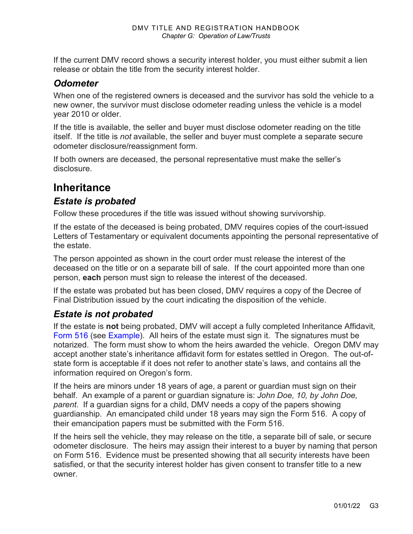If the current DMV record shows a security interest holder, you must either submit a lien release or obtain the title from the security interest holder.

#### *Odometer*

When one of the registered owners is deceased and the survivor has sold the vehicle to a new owner, the survivor must disclose odometer reading unless the vehicle is a model year 2010 or older.

If the title is available, the seller and buyer must disclose odometer reading on the title itself. If the title is *not* available, the seller and buyer must complete a separate secure odometer disclosure/reassignment form.

If both owners are deceased, the personal representative must make the seller's disclosure.

### **Inheritance**

#### *Estate is probated*

Follow these procedures if the title was issued without showing survivorship.

If the estate of the deceased is being probated, DMV requires copies of the court-issued Letters of Testamentary or equivalent documents appointing the personal representative of the estate.

The person appointed as shown in the court order must release the interest of the deceased on the title or on a separate bill of sale. If the court appointed more than one person, **each** person must sign to release the interest of the deceased.

If the estate was probated but has been closed, DMV requires a copy of the Decree of Final Distribution issued by the court indicating the disposition of the vehicle.

#### *Estate is not probated*

If the estate is **not** being probated, DMV will accept a fully completed Inheritance Affidavit*,* [Form 516](https://www.odot.state.or.us/forms/dmv/516fill.pdf) (see [Example\)](#page-4-0). All heirs of the estate must sign it. The signatures must be notarized. The form must show to whom the heirs awarded the vehicle. Oregon DMV may accept another state's inheritance affidavit form for estates settled in Oregon. The out-ofstate form is acceptable if it does not refer to another state's laws, and contains all the information required on Oregon's form.

If the heirs are minors under 18 years of age, a parent or guardian must sign on their behalf. An example of a parent or guardian signature is: *John Doe, 10, by John Doe, parent*. If a guardian signs for a child, DMV needs a copy of the papers showing guardianship. An emancipated child under 18 years may sign the Form 516. A copy of their emancipation papers must be submitted with the Form 516.

If the heirs sell the vehicle, they may release on the title, a separate bill of sale, or secure odometer disclosure. The heirs may assign their interest to a buyer by naming that person on Form 516. Evidence must be presented showing that all security interests have been satisfied, or that the security interest holder has given consent to transfer title to a new owner.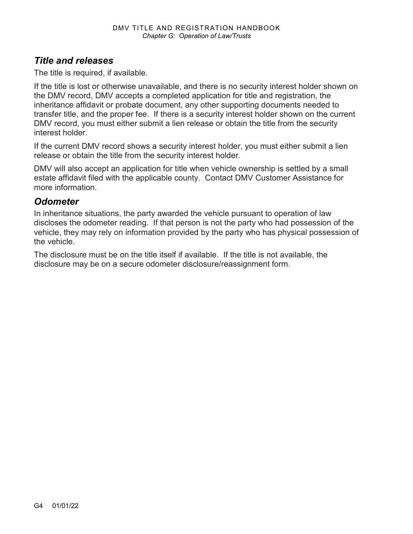#### *Title and releases*

The title is required, if available.

If the title is lost or otherwise unavailable, and there is no security interest holder shown on the DMV record, DMV accepts a completed application for title and registration, the inheritance affidavit or probate document, any other supporting documents needed to transfer title, and the proper fee. If there is a security interest holder shown on the current DMV record, you must either submit a lien release or obtain the title from the security interest holder.

If the current DMV record shows a security interest holder, you must either submit a lien release or obtain the title from the security interest holder.

DMV will also accept an application for title when vehicle ownership is settled by a small estate affidavit filed with the applicable county. Contact DMV Customer Assistance for more information.

#### *Odometer*

In inheritance situations, the party awarded the vehicle pursuant to operation of law discloses the odometer reading. If that person is not the party who had possession of the vehicle, they may rely on information provided by the party who has physical possession of the vehicle.

The disclosure must be on the title itself if available. If the title is not available, the disclosure may be on a secure odometer disclosure/reassignment form.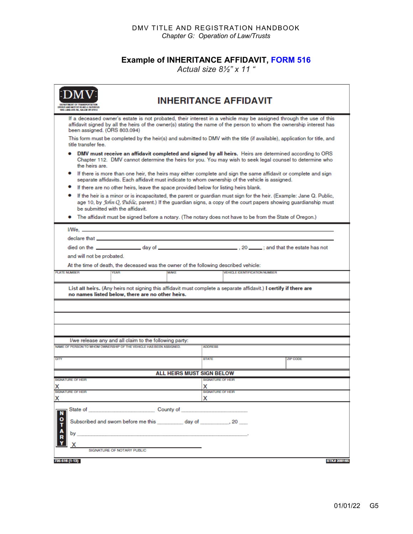#### DMV TITLE AND REGISTRATION HANDBOOK *Chapter G: Operation of Law/Trusts*

#### **Example of INHERITANCE AFFIDAVIT, [FORM 516](https://www.odot.state.or.us/forms/dmv/516fill.pdf)**

*Actual size 8½" x 11 "*

<span id="page-4-0"></span>

| MENT OF THAMEPORTATION<br>1906 LANA AVE NE, SALEM ON 97214                                                                                                                                                                                                                       | <b>INHERITANCE AFFIDAVIT</b>                                                                                                                                                                                                             |  |  |  |
|----------------------------------------------------------------------------------------------------------------------------------------------------------------------------------------------------------------------------------------------------------------------------------|------------------------------------------------------------------------------------------------------------------------------------------------------------------------------------------------------------------------------------------|--|--|--|
| been assigned. (ORS 803.094)                                                                                                                                                                                                                                                     | If a deceased owner's estate is not probated, their interest in a vehicle may be assigned through the use of this<br>affidavit signed by all the heirs of the owner(s) stating the name of the person to whom the ownership interest has |  |  |  |
| title transfer fee.                                                                                                                                                                                                                                                              | This form must be completed by the heir(s) and submitted to DMV with the title (if available), application for title, and                                                                                                                |  |  |  |
| DMV must receive an affidavit completed and signed by all heirs. Heirs are determined according to ORS<br>Chapter 112. DMV cannot determine the heirs for you. You may wish to seek legal counsel to determine who<br>the heirs are.                                             |                                                                                                                                                                                                                                          |  |  |  |
| If there is more than one heir, the heirs may either complete and sign the same affidavit or complete and sign<br>separate affidavits. Each affidavit must indicate to whom ownership of the vehicle is assigned.                                                                |                                                                                                                                                                                                                                          |  |  |  |
| If there are no other heirs, leave the space provided below for listing heirs blank.                                                                                                                                                                                             |                                                                                                                                                                                                                                          |  |  |  |
| ٠<br>If the heir is a minor or is incapacitated, the parent or guardian must sign for the heir. (Example: Jane Q. Public,<br>age 10, by John Q, Public, parent.) If the guardian signs, a copy of the court papers showing guardianship must<br>be submitted with the affidavit. |                                                                                                                                                                                                                                          |  |  |  |
|                                                                                                                                                                                                                                                                                  | The affidavit must be signed before a notary. (The notary does not have to be from the State of Oregon.)                                                                                                                                 |  |  |  |
|                                                                                                                                                                                                                                                                                  |                                                                                                                                                                                                                                          |  |  |  |
| declare that                                                                                                                                                                                                                                                                     |                                                                                                                                                                                                                                          |  |  |  |
|                                                                                                                                                                                                                                                                                  |                                                                                                                                                                                                                                          |  |  |  |
| and will not be probated.                                                                                                                                                                                                                                                        |                                                                                                                                                                                                                                          |  |  |  |
| At the time of death, the deceased was the owner of the following described vehicle:                                                                                                                                                                                             |                                                                                                                                                                                                                                          |  |  |  |
| <b>MAKE</b><br><b>PLATE NUMBER</b><br><b>YEAR</b>                                                                                                                                                                                                                                | <b>VEHICLE IDENTIFICATION NUMBER</b>                                                                                                                                                                                                     |  |  |  |
|                                                                                                                                                                                                                                                                                  |                                                                                                                                                                                                                                          |  |  |  |
| List all heirs. (Any heirs not signing this affidavit must complete a separate affidavit.) I certify if there are<br>no names listed below, there are no other heirs.                                                                                                            |                                                                                                                                                                                                                                          |  |  |  |
|                                                                                                                                                                                                                                                                                  |                                                                                                                                                                                                                                          |  |  |  |
|                                                                                                                                                                                                                                                                                  |                                                                                                                                                                                                                                          |  |  |  |
|                                                                                                                                                                                                                                                                                  |                                                                                                                                                                                                                                          |  |  |  |
|                                                                                                                                                                                                                                                                                  |                                                                                                                                                                                                                                          |  |  |  |
| I/we release any and all claim to the following party:                                                                                                                                                                                                                           |                                                                                                                                                                                                                                          |  |  |  |
| NAME OF PERSON TO WHOM OWNERSHIP OF THE VEHICLE HAS BEEN ASSIGNED.                                                                                                                                                                                                               | <b>ADDRESS</b>                                                                                                                                                                                                                           |  |  |  |
| <b>CITY</b>                                                                                                                                                                                                                                                                      | ZIP CODE<br><b>STATE</b>                                                                                                                                                                                                                 |  |  |  |
|                                                                                                                                                                                                                                                                                  |                                                                                                                                                                                                                                          |  |  |  |
|                                                                                                                                                                                                                                                                                  | <b>ALL HEIRS MUST SIGN BELOW</b>                                                                                                                                                                                                         |  |  |  |
| SIGNATURE OF HEIR                                                                                                                                                                                                                                                                | SIGNATURE OF HEIR                                                                                                                                                                                                                        |  |  |  |
| <b>SIGNATURE OF HEIR</b>                                                                                                                                                                                                                                                         | <b>SIGNATURE OF HEIR</b>                                                                                                                                                                                                                 |  |  |  |
| x                                                                                                                                                                                                                                                                                | x                                                                                                                                                                                                                                        |  |  |  |
| N<br>о<br>Subscribed and sworn before me this day of 30 (20)<br>by                                                                                                                                                                                                               |                                                                                                                                                                                                                                          |  |  |  |
| х                                                                                                                                                                                                                                                                                |                                                                                                                                                                                                                                          |  |  |  |
| SIGNATURE OF NOTARY PUBLIC                                                                                                                                                                                                                                                       |                                                                                                                                                                                                                                          |  |  |  |
| 735-516 (1-13)                                                                                                                                                                                                                                                                   | STK#300165                                                                                                                                                                                                                               |  |  |  |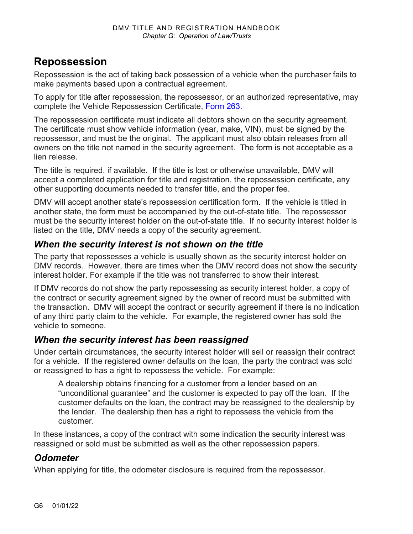### **Repossession**

Repossession is the act of taking back possession of a vehicle when the purchaser fails to make payments based upon a contractual agreement.

To apply for title after repossession, the repossessor, or an authorized representative, may complete the Vehicle Repossession Certificate, [Form 263.](https://www.odot.state.or.us/forms/dmv/263fill.pdf)

The repossession certificate must indicate all debtors shown on the security agreement. The certificate must show vehicle information (year, make, VIN), must be signed by the repossessor, and must be the original. The applicant must also obtain releases from all owners on the title not named in the security agreement. The form is not acceptable as a lien release.

The title is required, if available. If the title is lost or otherwise unavailable, DMV will accept a completed application for title and registration, the repossession certificate, any other supporting documents needed to transfer title, and the proper fee.

DMV will accept another state's repossession certification form. If the vehicle is titled in another state, the form must be accompanied by the out-of-state title. The repossessor must be the security interest holder on the out-of-state title. If no security interest holder is listed on the title, DMV needs a copy of the security agreement.

#### *When the security interest is not shown on the title*

The party that repossesses a vehicle is usually shown as the security interest holder on DMV records. However, there are times when the DMV record does not show the security interest holder. For example if the title was not transferred to show their interest.

If DMV records do not show the party repossessing as security interest holder, a copy of the contract or security agreement signed by the owner of record must be submitted with the transaction. DMV will accept the contract or security agreement if there is no indication of any third party claim to the vehicle. For example, the registered owner has sold the vehicle to someone.

#### *When the security interest has been reassigned*

Under certain circumstances, the security interest holder will sell or reassign their contract for a vehicle. If the registered owner defaults on the loan, the party the contract was sold or reassigned to has a right to repossess the vehicle. For example:

A dealership obtains financing for a customer from a lender based on an "unconditional guarantee" and the customer is expected to pay off the loan. If the customer defaults on the loan, the contract may be reassigned to the dealership by the lender. The dealership then has a right to repossess the vehicle from the customer.

In these instances, a copy of the contract with some indication the security interest was reassigned or sold must be submitted as well as the other repossession papers.

### *Odometer*

When applying for title, the odometer disclosure is required from the repossessor.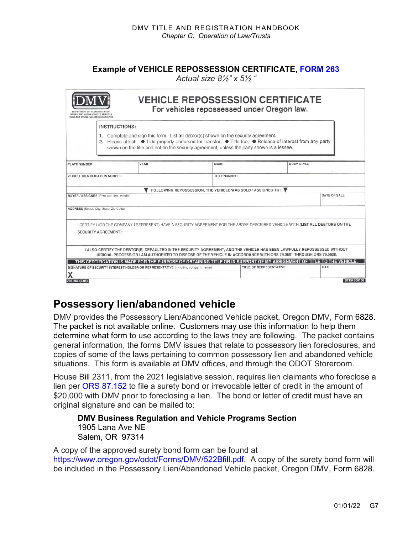#### **Example of VEHICLE REPOSSESSION CERTIFICATE, [FORM 263](https://www.odot.state.or.us/forms/dmv/263fill.pdf)**

*Actual size 8½" x 5½ "*

|                                      | <b>INSTRUCTIONS:</b><br>1. Complete and sign this form. List all debtor(s) shown on the security agreement.<br>2. Please attach: ● Title properly endorsed for transfer; ● Title fee; ● Release of interest from any party | shown on the title and not on the security agreement, unless the party shown is a lessee. |                                                                                                                                  |
|--------------------------------------|----------------------------------------------------------------------------------------------------------------------------------------------------------------------------------------------------------------------------|-------------------------------------------------------------------------------------------|----------------------------------------------------------------------------------------------------------------------------------|
| <b>PLATE NUMBER</b>                  | <b>YEAR</b>                                                                                                                                                                                                                | MAKE                                                                                      | <b>BODY STYLE</b>                                                                                                                |
| <b>VEHICLE IDENTIFICATION NUMBER</b> |                                                                                                                                                                                                                            | <b>TITLE NUMBER</b>                                                                       |                                                                                                                                  |
|                                      |                                                                                                                                                                                                                            | FOLLOWING REPOSSESSION, THE VEHICLE WAS SOLD / ASSIGNED TO: ▼                             |                                                                                                                                  |
|                                      | BUYER / ASSIGNEE (Print last, first, middle)                                                                                                                                                                               |                                                                                           | DATE OF SALE                                                                                                                     |
|                                      | ADDRESS (Street, City, State, Zip Code)                                                                                                                                                                                    |                                                                                           |                                                                                                                                  |
|                                      |                                                                                                                                                                                                                            |                                                                                           |                                                                                                                                  |
|                                      |                                                                                                                                                                                                                            |                                                                                           | I CERTIFY I (OR THE COMPANY I REPRESENT) HAVE A SECURITY AGREEMENT FOR THE ABOVE DESCRIBED VEHICLE WITH (LIST ALL DEBTORS ON THE |
|                                      | SECURITY AGREEMENT):                                                                                                                                                                                                       |                                                                                           |                                                                                                                                  |
|                                      |                                                                                                                                                                                                                            |                                                                                           | I ALSO CERTIFY THE DEBTOR(S) DEFAULTED IN THE SECURITY AGREEMENT, AND THE VEHICLE HAS BEEN LAWFULLY REPOSSESSED WITHOUT          |
|                                      | JUDICIAL PROCESS OR I AM AUTHORIZED TO DISPOSE OF THE VEHICLE IN ACCORDANCE WITH ORS 79.0601 THROUGH ORS 79.0628.                                                                                                          |                                                                                           | THIS CERTIFICATION IS MADE FOR THE PURPOSE OF OBTAINING TITLE OR IN SUPPORT OF MY ASSIGNMENT OF TITLE TO THE VEHICLE.            |

### **Possessory lien/abandoned vehicle**

DMV provides the Possessory Lien/Abandoned Vehicle packet, Oregon DMV, Form 6828. The packet is not available online. Customers may use this information to help them determine what form to use according to the laws they are following. The packet contains general information, the forms DMV issues that relate to possessory lien foreclosures, and copies of some of the laws pertaining to common possessory lien and abandoned vehicle situations. This form is available at DMV offices, and through the ODOT Storeroom.

House Bill 2311, from the 2021 legislative session, requires lien claimants who foreclose a lien per [ORS 87.152](https://www.oregonlegislature.gov/bills_laws/ors/ors087.html) to file a surety bond or irrevocable letter of credit in the amount of \$20,000 with DMV prior to foreclosing a lien. The bond or letter of credit must have an original signature and can be mailed to:

**DMV Business Regulation and Vehicle Programs Section** 1905 Lana Ave NE Salem, OR 97314

A copy of the approved surety bond form can be found at [https://www.oregon.gov/odot/Forms/DMV/522Bfill.pdf.](https://www.oregon.gov/odot/Forms/DMV/522Bfill.pdf) A copy of the surety bond form will be included in the Possessory Lien/Abandoned Vehicle packet, Oregon DMV, Form 6828.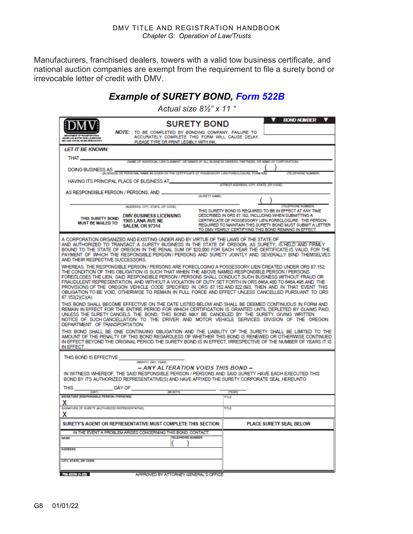Manufacturers, franchised dealers, towers with a valid tow business certificate, and national auction companies are exempt from the requirement to file a surety bond or irrevocable letter of credit with DMV.

### *Example of SURETY BOND, [Form 522B](https://www.oregon.gov/odot/Forms/DMV/522Bfill.pdf)*

*Actual size 8½" x 11 "*

| <b>SURETY BOND</b><br>NOTE: TO BE COMPLETED BY BONDING COMPANY. FAILURE TO                                                                                                                                                                                                                                                                                                                                                                                                                                                                                                                                                                                        | <b>BOND NUMBER</b>                                                                                                                                                                                                                                                                                                              |  |  |
|-------------------------------------------------------------------------------------------------------------------------------------------------------------------------------------------------------------------------------------------------------------------------------------------------------------------------------------------------------------------------------------------------------------------------------------------------------------------------------------------------------------------------------------------------------------------------------------------------------------------------------------------------------------------|---------------------------------------------------------------------------------------------------------------------------------------------------------------------------------------------------------------------------------------------------------------------------------------------------------------------------------|--|--|
| ACCURATELY COMPLETE THIS FORM WILL CAUSE DELAY.<br><b>MIVER AND BOTOR VEHICLE SERVICES</b><br><b>BEELANA AVENE, ANLES CRISCA ET 214</b><br>PLEASE TYPE OR PRINT LEGIBLY WITH INK.                                                                                                                                                                                                                                                                                                                                                                                                                                                                                 |                                                                                                                                                                                                                                                                                                                                 |  |  |
| LET IT BE KNOWN:                                                                                                                                                                                                                                                                                                                                                                                                                                                                                                                                                                                                                                                  |                                                                                                                                                                                                                                                                                                                                 |  |  |
| THAT_<br>(NAME OF INDIVIDUAL LIEN CLAIMANT, OR NAMES OF ALL BUSINESS OWNERS, PARTNERS, OR NAME OF CORPORATION)                                                                                                                                                                                                                                                                                                                                                                                                                                                                                                                                                    |                                                                                                                                                                                                                                                                                                                                 |  |  |
| <b>DOING BUSINESS AS</b><br>(BUSINESS OR PERSONAL NAME AS GIVEN ON THE CERTIFICATE OF POSSESSORY LIEN FORECLOSURE, FORM 520)                                                                                                                                                                                                                                                                                                                                                                                                                                                                                                                                      | (TELEPHONE NUMBER)                                                                                                                                                                                                                                                                                                              |  |  |
| HAVING ITS PRINCIPAL PLACE OF BUSINESS AT                                                                                                                                                                                                                                                                                                                                                                                                                                                                                                                                                                                                                         |                                                                                                                                                                                                                                                                                                                                 |  |  |
| AS RESPONSIBLE PERSON / PERSONS, AND _                                                                                                                                                                                                                                                                                                                                                                                                                                                                                                                                                                                                                            | (STREET ADDRESS, CITY, STATE, ZIP CODE)                                                                                                                                                                                                                                                                                         |  |  |
| (SURETY NAME)                                                                                                                                                                                                                                                                                                                                                                                                                                                                                                                                                                                                                                                     |                                                                                                                                                                                                                                                                                                                                 |  |  |
| (ADDRESS, CITY, STATE, ZIP CODE)<br><b>DMV BUSINESS LICENSING</b><br>THIS SURETY BOND<br>1905 LANA AVE NE<br><b>MUST BE MAILED TO:</b><br><b>SALEM, OR 97314</b>                                                                                                                                                                                                                                                                                                                                                                                                                                                                                                  | <b>ITELEPHONE NUMBERS</b><br>THIS SURETY BOND IS REQUIRED TO BE IN EFFECT AT ANY TIME<br>DESCRIBED IN ORS 87.152. INCLUDING WHEN SUBMITTING A<br>CERTIFICATE OF POSSESSORY LIEN FORECLOSURE. THE PERSON.<br>REQUIRED TO MAINTAIN THIS SURETY BOND MUST SUBMIT A LETTER<br>TO DMV YEARLY CERTIFYING THIS BOND REMAINS IN EFFECT. |  |  |
| A CORPORATION ORGANIZED AND EXISTING UNDER AND BY VIRTUE OF THE LAWS OF THE STATE OF<br>AND AUTHORIZED TO TRANSACT A SURETY BUSINESS IN THE STATE OF OREGON. AS SURETY, IS HELD AND FIRMLY<br>BOUND TO THE STATE OF OREGON IN THE PENAL SUM OF \$20,000 FOR EACH YEAR THE CERTIFICATE IS VALID. FOR THE<br>PAYMENT OF WHICH THE RESPONSIBLE PERSON / PERSONS AND SURETY JOINTLY AND SEVERALLY BIND THEMSELVES<br>AND THEIR RESPECTIVE SUCCESSORS.                                                                                                                                                                                                                 |                                                                                                                                                                                                                                                                                                                                 |  |  |
| WHEREAS. THE RESPONSIBLE PERSON / PERSONS ARE FORECLOSING A POSSESSORY LIEN CREATED UNDER ORS 87.152:<br>THE CONDITION OF THIS OBLIGATION IS SUCH THAT WHEN THE ABOVE NAMED RESPONSIBLE PERSON / PERSONS<br>FORECLOSES THE LIEN. SAID RESPONSIBLE PERSON / PERSONS SHALL CONDUCT SUCH BUSINESS WITHOUT FRAUD OR<br>FRAUDULENT REPRESENTATION. AND WITHOUT A VIOLATION OF DUTY SET FORTH IN ORS 646A-480 TO 646A-495 AND THE<br>PROVISIONS OF THE OREGON VEHICLE CODE SPECIFIED IN ORS 87.152 AND 822.093. THEN AND IN THAT EVENT THIS<br>OBLIGATION TO BE VOID. OTHERWISE TO REMAIN IN FULL FORCE AND EFFECT UNLESS CANCELLED PURSUANT TO ORS<br>87.152(2)(C)(A). |                                                                                                                                                                                                                                                                                                                                 |  |  |
| THIS BOND SHALL BECOME EFFECTIVE ON THE DATE LISTED BELOW AND SHALL BE DEEMED CONTINUOUS IN FORM AND<br>REMAIN IN EFFECT FOR THE ENTIRE PERIOD FOR WHICH CERTIFICATION IS GRANTED UNTIL DEPLETED BY CLAIMS PAID.<br>UNLESS THE SURETY CANCELS THE BOND. THIS BOND MAY BE CANCELED BY THE SURETY GIVING WRITTEN<br>NOTICE OF SUCH CANCELLATION TO THE DRIVER AND MOTOR VEHICLE SERVICES DIVISION OF THE OREGON<br>DEPARTMENT OF TRANSPORTATION.                                                                                                                                                                                                                    |                                                                                                                                                                                                                                                                                                                                 |  |  |
| THIS BOND SHALL BE ONE CONTINUING OBLIGATION AND THE LIABILITY OF THE SURETY SHALL BE LIMITED TO THE<br>AMOUNT OF THE PENALTY OF THIS BOND REGARDLESS OF WHETHER THIS BOND IS RENEWED OR OTHERWISE CONTINUED<br>IN EFFECT BEYOND THE ORIGINAL PERIOD THE SURETY BOND IS IN EFFECT. IRRESPECTIVE OF THE NUMBER OF YEARS IT IS<br>IN EFFECT.                                                                                                                                                                                                                                                                                                                        |                                                                                                                                                                                                                                                                                                                                 |  |  |
| THIS BOND IS EFFECTIVE                                                                                                                                                                                                                                                                                                                                                                                                                                                                                                                                                                                                                                            |                                                                                                                                                                                                                                                                                                                                 |  |  |
| (MONTH, DAY, YEAR)<br>-- ANY ALTERATION VOIDS THIS BOND --<br>IN WITNESS WHEREOF. THE SAID RESPONSIBLE PERSON / PERSONS AND SAID SURETY HAVE EACH EXECUTED THIS<br>BOND BY ITS AUTHORIZED REPRESENTATIVE(S) AND HAVE AFFIXED THE SURETY CORPORATE SEAL HEREUNTO                                                                                                                                                                                                                                                                                                                                                                                                   |                                                                                                                                                                                                                                                                                                                                 |  |  |
| DAY OF<br>THIS<br><b>IMONTHY</b><br>(DAY)                                                                                                                                                                                                                                                                                                                                                                                                                                                                                                                                                                                                                         | <b>CYEARD</b>                                                                                                                                                                                                                                                                                                                   |  |  |
| <b>SIGNATURE (RESPONSIBLE PERSON / PERSONS)</b><br>х                                                                                                                                                                                                                                                                                                                                                                                                                                                                                                                                                                                                              | TITLE                                                                                                                                                                                                                                                                                                                           |  |  |
| SIGNATURE OF SURETY (AUTHORIZED REPRESENTATIVE)<br>X                                                                                                                                                                                                                                                                                                                                                                                                                                                                                                                                                                                                              | TITLE                                                                                                                                                                                                                                                                                                                           |  |  |
| $\mathbf{v}$<br>SURETY'S AGENT OR REPRESENTATIVE MUST COMPLETE THIS SECTION:                                                                                                                                                                                                                                                                                                                                                                                                                                                                                                                                                                                      | <b>PLACE SURETY SEAL BELOW</b>                                                                                                                                                                                                                                                                                                  |  |  |
| IN THE EVENT A PROBLEM ARISES CONCERNING THIS BOND, CONTACT:                                                                                                                                                                                                                                                                                                                                                                                                                                                                                                                                                                                                      |                                                                                                                                                                                                                                                                                                                                 |  |  |
| <b>TELEPHONE NUMBER</b><br><b>NAME</b>                                                                                                                                                                                                                                                                                                                                                                                                                                                                                                                                                                                                                            |                                                                                                                                                                                                                                                                                                                                 |  |  |
| <b>ADDRESS</b>                                                                                                                                                                                                                                                                                                                                                                                                                                                                                                                                                                                                                                                    |                                                                                                                                                                                                                                                                                                                                 |  |  |
| CITY, STATE, ZIP CODE                                                                                                                                                                                                                                                                                                                                                                                                                                                                                                                                                                                                                                             |                                                                                                                                                                                                                                                                                                                                 |  |  |
| 786-622B (1-22)<br>APPROVED BY ATTORNEY GENERAL'S OFFICE                                                                                                                                                                                                                                                                                                                                                                                                                                                                                                                                                                                                          |                                                                                                                                                                                                                                                                                                                                 |  |  |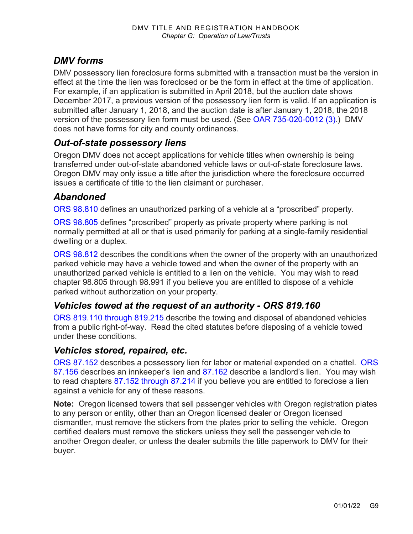### *DMV forms*

DMV possessory lien foreclosure forms submitted with a transaction must be the version in effect at the time the lien was foreclosed or be the form in effect at the time of application. For example, if an application is submitted in April 2018, but the auction date shows December 2017, a previous version of the possessory lien form is valid. If an application is submitted after January 1, 2018, and the auction date is after January 1, 2018, the 2018 version of the possessory lien form must be used. (See [OAR 735-020-0012 \(3\).](https://secure.sos.state.or.us/oard/viewSingleRule.action?ruleVrsnRsn=238625)) DMV does not have forms for city and county ordinances.

#### *Out-of-state possessory liens*

Oregon DMV does not accept applications for vehicle titles when ownership is being transferred under out-of-state abandoned vehicle laws or out-of-state foreclosure laws. Oregon DMV may only issue a title after the jurisdiction where the foreclosure occurred issues a certificate of title to the lien claimant or purchaser.

#### *Abandoned*

[ORS 98.810 d](https://www.oregonlegislature.gov/bills_laws/ors/ors098.html)efines an unauthorized parking of a vehicle at a "proscribed" property.

[ORS 98.805](https://www.oregonlegislature.gov/bills_laws/ors/ors098.html) defines "proscribed" property as private property where parking is not normally permitted at all or that is used primarily for parking at a single-family residential dwelling or a duplex.

[ORS 98.812](https://www.oregonlegislature.gov/bills_laws/ors/ors098.html) describes the conditions when the owner of the property with an unauthorized parked vehicle may have a vehicle towed and when the owner of the property with an unauthorized parked vehicle is entitled to a lien on the vehicle. You may wish to read chapter 98.805 through 98.991 if you believe you are entitled to dispose of a vehicle parked without authorization on your property.

#### *Vehicles towed at the request of an authority - ORS 819.160*

[ORS 819.110 through 819.215](https://www.oregonlegislature.gov/bills_laws/ors/ors819.html) describe the towing and disposal of abandoned vehicles from a public right-of-way. Read the cited statutes before disposing of a vehicle towed under these conditions.

#### *Vehicles stored, repaired, etc.*

[ORS 87.152](https://www.oregonlegislature.gov/bills_laws/ors/ors087.html) describes a possessory lien for labor or material expended on a chattel. [ORS](https://www.oregonlegislature.gov/bills_laws/ors/ors087.html)  [87.156](https://www.oregonlegislature.gov/bills_laws/ors/ors087.html) describes an innkeeper's lien and [87.162](https://www.oregonlegislature.gov/bills_laws/ors/ors098.html) describe a landlord's lien. You may wish to read chapters [87.152 through 87.214](https://www.oregonlegislature.gov/bills_laws/ors/ors098.html) if you believe you are entitled to foreclose a lien against a vehicle for any of these reasons.

**Note:** Oregon licensed towers that sell passenger vehicles with Oregon registration plates to any person or entity, other than an Oregon licensed dealer or Oregon licensed dismantler, must remove the stickers from the plates prior to selling the vehicle. Oregon certified dealers must remove the stickers unless they sell the passenger vehicle to another Oregon dealer, or unless the dealer submits the title paperwork to DMV for their buyer.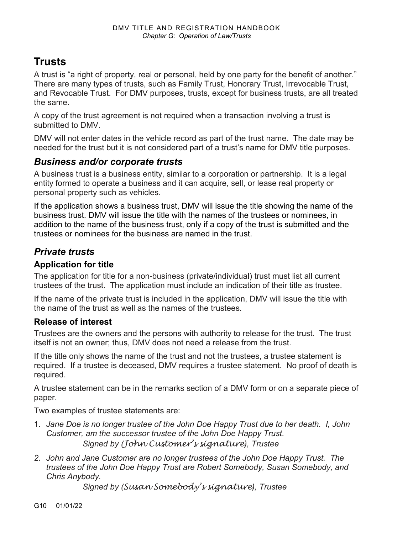## **Trusts**

A trust is "a right of property, real or personal, held by one party for the benefit of another." There are many types of trusts, such as Family Trust, Honorary Trust, Irrevocable Trust, and Revocable Trust. For DMV purposes, trusts, except for business trusts, are all treated the same.

A copy of the trust agreement is not required when a transaction involving a trust is submitted to DMV.

DMV will not enter dates in the vehicle record as part of the trust name. The date may be needed for the trust but it is not considered part of a trust's name for DMV title purposes.

#### *Business and/or corporate trusts*

A business trust is a business entity, similar to a corporation or partnership. It is a legal entity formed to operate a business and it can acquire, sell, or lease real property or personal property such as vehicles.

If the application shows a business trust, DMV will issue the title showing the name of the business trust. DMV will issue the title with the names of the trustees or nominees, in addition to the name of the business trust, only if a copy of the trust is submitted and the trustees or nominees for the business are named in the trust.

### *Private trusts*

#### **Application for title**

The application for title for a non-business (private/individual) trust must list all current trustees of the trust. The application must include an indication of their title as trustee.

If the name of the private trust is included in the application, DMV will issue the title with the name of the trust as well as the names of the trustees.

#### **Release of interest**

Trustees are the owners and the persons with authority to release for the trust. The trust itself is not an owner; thus, DMV does not need a release from the trust.

If the title only shows the name of the trust and not the trustees, a trustee statement is required. If a trustee is deceased, DMV requires a trustee statement. No proof of death is required.

A trustee statement can be in the remarks section of a DMV form or on a separate piece of paper.

Two examples of trustee statements are:

- 1. *Jane Doe is no longer trustee of the John Doe Happy Trust due to her death. I, John Customer, am the successor trustee of the John Doe Happy Trust*. *Signed by (John Customer's signature), Trustee*
- *2. John and Jane Customer are no longer trustees of the John Doe Happy Trust. The trustees of the John Doe Happy Trust are Robert Somebody, Susan Somebody, and Chris Anybody.*

*Signed by (Susan Somebody's signature), Trustee*